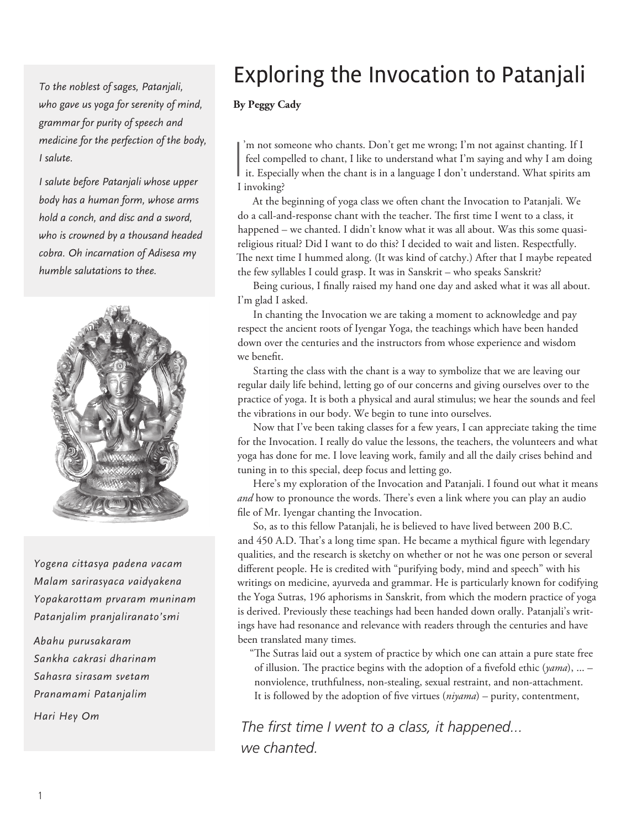*To the noblest of sages, Patanjali, who gave us yoga for serenity of mind, grammar for purity of speech and medicine for the perfection of the body, I salute.* 

*I salute before Patanjali whose upper body has a human form, whose arms hold a conch, and disc and a sword, who is crowned by a thousand headed cobra. Oh incarnation of Adisesa my humble salutations to thee.*



*Yogena cittasya padena vacam Malam sarirasyaca vaidyakena Yopakarottam prvaram muninam Patanjalim pranjaliranato'smi* 

*Abahu purusakaram Sankha cakrasi dharinam Sahasra sirasam svetam Pranamami Patanjalim Hari Hey Om*

# Exploring the Invocation to Patanjali

**By Peggy Cady**

I 'm not someone who chants. Don't get me wrong; I'm not against chanting. If I feel compelled to chant, I like to understand what I'm saying and why I am doing I it. Especially when the chant is in a language I don't understand. What spirits am I invoking?

At the beginning of yoga class we often chant the Invocation to Patanjali. We do a call-and-response chant with the teacher. The first time I went to a class, it happened – we chanted. I didn't know what it was all about. Was this some quasireligious ritual? Did I want to do this? I decided to wait and listen. Respectfully. The next time I hummed along. (It was kind of catchy.) After that I maybe repeated the few syllables I could grasp. It was in Sanskrit – who speaks Sanskrit?

Being curious, I finally raised my hand one day and asked what it was all about. I'm glad I asked.

In chanting the Invocation we are taking a moment to acknowledge and pay respect the ancient roots of Iyengar Yoga, the teachings which have been handed down over the centuries and the instructors from whose experience and wisdom we benefit.

Starting the class with the chant is a way to symbolize that we are leaving our regular daily life behind, letting go of our concerns and giving ourselves over to the practice of yoga. It is both a physical and aural stimulus; we hear the sounds and feel the vibrations in our body. We begin to tune into ourselves.

Now that I've been taking classes for a few years, I can appreciate taking the time for the Invocation. I really do value the lessons, the teachers, the volunteers and what yoga has done for me. I love leaving work, family and all the daily crises behind and tuning in to this special, deep focus and letting go.

Here's my exploration of the Invocation and Patanjali. I found out what it means *and* how to pronounce the words. There's even a link where you can play an audio file of Mr. Iyengar chanting the Invocation.

So, as to this fellow Patanjali, he is believed to have lived between 200 B.C. and 450 A.D. That's a long time span. He became a mythical figure with legendary qualities, and the research is sketchy on whether or not he was one person or several different people. He is credited with "purifying body, mind and speech" with his writings on medicine, ayurveda and grammar. He is particularly known for codifying the Yoga Sutras, 196 aphorisms in Sanskrit, from which the modern practice of yoga is derived. Previously these teachings had been handed down orally. Patanjali's writings have had resonance and relevance with readers through the centuries and have been translated many times.

"The Sutras laid out a system of practice by which one can attain a pure state free of illusion. The practice begins with the adoption of a fivefold ethic (*yama*), ... – nonviolence, truthfulness, non-stealing, sexual restraint, and non-attachment. It is followed by the adoption of five virtues (*niyama*) – purity, contentment,

*The first time I went to a class, it happened... we chanted.*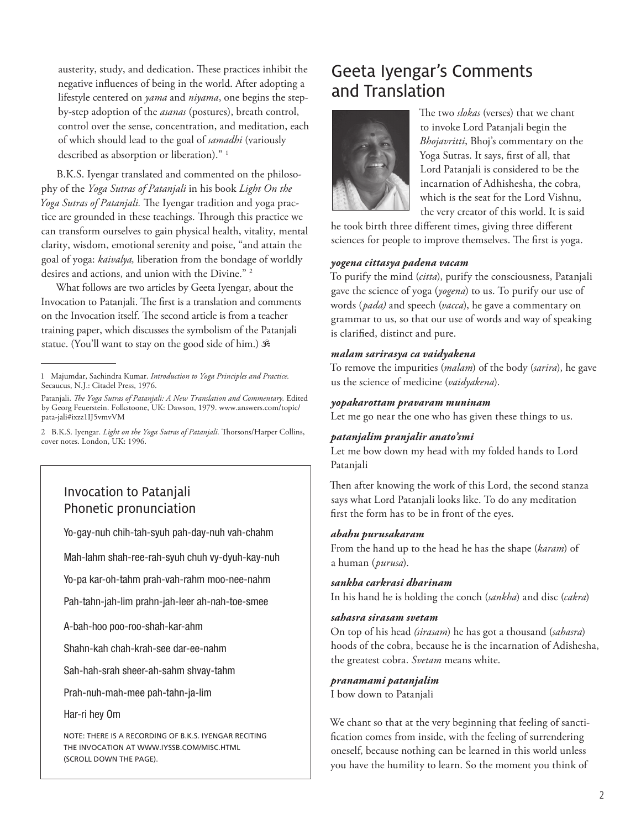austerity, study, and dedication. These practices inhibit the negative influences of being in the world. After adopting a lifestyle centered on *yama* and *niyama*, one begins the stepby-step adoption of the *asanas* (postures), breath control, control over the sense, concentration, and meditation, each of which should lead to the goal of *samadhi* (variously described as absorption or liberation)." 1

B.K.S. Iyengar translated and commented on the philosophy of the *Yoga Sutras of Patanjali* in his book *Light On the Yoga Sutras of Patanjali.* The Iyengar tradition and yoga practice are grounded in these teachings. Through this practice we can transform ourselves to gain physical health, vitality, mental clarity, wisdom, emotional serenity and poise, "and attain the goal of yoga: *kaivalya,* liberation from the bondage of worldly desires and actions, and union with the Divine." 2

What follows are two articles by Geeta Iyengar, about the Invocation to Patanjali. The first is a translation and comments on the Invocation itself. The second article is from a teacher training paper, which discusses the symbolism of the Patanjali statue. (You'll want to stay on the good side of him.)

### Invocation to Patanjali Phonetic pronunciation

Yo-gay-nuh chih-tah-syuh pah-day-nuh vah-chahm

Mah-lahm shah-ree-rah-syuh chuh vy-dyuh-kay-nuh

Yo-pa kar-oh-tahm prah-vah-rahm moo-nee-nahm

Pah-tahn-jah-lim prahn-jah-leer ah-nah-toe-smee

A-bah-hoo poo-roo-shah-kar-ahm

Shahn-kah chah-krah-see dar-ee-nahm

Sah-hah-srah sheer-ah-sahm shvay-tahm

Prah-nuh-mah-mee pah-tahn-ja-lim

Har-ri hey Om

Note: there is a recording of B.K.S. Iyengar reciting THE INVOCATION AT WWW.IYSSB.COM/MISC.HTML (scroll down the page).

# Geeta Iyengar's Comments and Translation



The two *slokas* (verses) that we chant to invoke Lord Patanjali begin the *Bhojavritti*, Bhoj's commentary on the Yoga Sutras. It says, first of all, that Lord Patanjali is considered to be the incarnation of Adhishesha, the cobra, which is the seat for the Lord Vishnu, the very creator of this world. It is said

he took birth three different times, giving three different sciences for people to improve themselves. The first is yoga.

#### *yogena cittasya padena vacam*

To purify the mind (*citta*), purify the consciousness, Patanjali gave the science of yoga (*yogena*) to us. To purify our use of words (*pada)* and speech (*vacca*), he gave a commentary on grammar to us, so that our use of words and way of speaking is clarified, distinct and pure.

#### *malam sarirasya ca vaidyakena*

To remove the impurities (*malam*) of the body (*sarira*), he gave us the science of medicine (*vaidyakena*).

#### *yopakarottam pravaram muninam*

Let me go near the one who has given these things to us.

#### *patanjalim pranjalir anato'smi*

Let me bow down my head with my folded hands to Lord Patanjali

Then after knowing the work of this Lord, the second stanza says what Lord Patanjali looks like. To do any meditation first the form has to be in front of the eyes.

#### *abahu purusakaram*

From the hand up to the head he has the shape (*karam*) of a human (*purusa*).

#### *sankha carkrasi dharinam*

In his hand he is holding the conch (*sankha*) and disc (*cakra*)

#### *sahasra sirasam svetam*

On top of his head *(sirasam*) he has got a thousand (*sahasra*) hoods of the cobra, because he is the incarnation of Adishesha, the greatest cobra. *Svetam* means white.

#### *pranamami patanjalim*

I bow down to Patanjali

We chant so that at the very beginning that feeling of sanctification comes from inside, with the feeling of surrendering oneself, because nothing can be learned in this world unless you have the humility to learn. So the moment you think of

<sup>1</sup> Majumdar, Sachindra Kumar. *Introduction to Yoga Principles and Practice.*  Secaucus, N.J.: Citadel Press, 1976.

Patanjali. *The Yoga Sutras of Patanjali: A New Translation and Commentary.* Edited by Georg Feuerstein. Folkstoone, UK: Dawson, 1979. www.answers.com/topic/ pata-jali#ixzz1IJ5vmvVM

<sup>2</sup> B.K.S. Iyengar. *Light on the Yoga Sutras of Patanjali.* Thorsons/Harper Collins, cover notes. London, UK: 1996.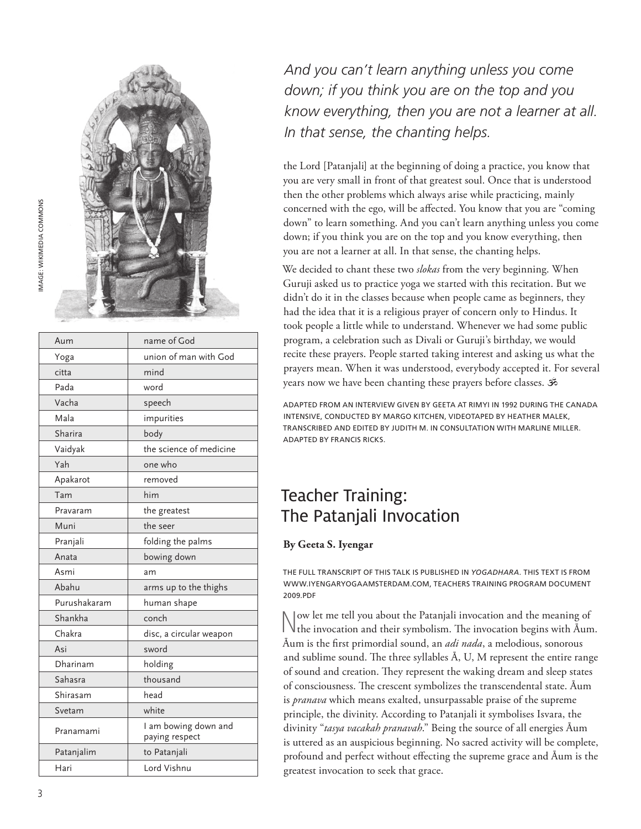

| Aum          | name of God                            |
|--------------|----------------------------------------|
| Yoga         | union of man with God                  |
| citta        | mind                                   |
| Pada         | word                                   |
| Vacha        | speech                                 |
| Mala         | impurities                             |
| Sharira      | body                                   |
| Vaidyak      | the science of medicine                |
| Yah          | one who                                |
| Apakarot     | removed                                |
| Tam          | him                                    |
| Pravaram     | the greatest                           |
| Muni         | the seer                               |
| Pranjali     | folding the palms                      |
| Anata        | bowing down                            |
| Asmi         | am                                     |
| Abahu        | arms up to the thighs                  |
| Purushakaram | human shape                            |
| Shankha      | conch                                  |
| Chakra       | disc, a circular weapon                |
| Asi          | sword                                  |
| Dharinam     | holding                                |
| Sahasra      | thousand                               |
| Shirasam     | head                                   |
| Svetam       | white                                  |
| Pranamami    | I am bowing down and<br>paying respect |
| Patanjalim   | to Patanjali                           |
| Hari         | Lord Vishnu                            |

*And you can't learn anything unless you come down; if you think you are on the top and you know everything, then you are not a learner at all. In that sense, the chanting helps.*

the Lord [Patanjali] at the beginning of doing a practice, you know that you are very small in front of that greatest soul. Once that is understood then the other problems which always arise while practicing, mainly concerned with the ego, will be affected. You know that you are "coming down" to learn something. And you can't learn anything unless you come down; if you think you are on the top and you know everything, then you are not a learner at all. In that sense, the chanting helps.

We decided to chant these two *slokas* from the very beginning. When Guruji asked us to practice yoga we started with this recitation. But we didn't do it in the classes because when people came as beginners, they had the idea that it is a religious prayer of concern only to Hindus. It took people a little while to understand. Whenever we had some public program, a celebration such as Divali or Guruji's birthday, we would recite these prayers. People started taking interest and asking us what the prayers mean. When it was understood, everybody accepted it. For several years now we have been chanting these prayers before classes.

adapted from an interview given by Geeta at RIMYI in 1992 during the Canada intensive, conducted by Margo Kitchen, videotaped by Heather Malek, transcribed and edited by Judith M. in consultation with Marline Miller. Adapted by Francis Ricks.

# Teacher Training: The Patanjali Invocation

### **By Geeta S. Iyengar**

The full transcript of this talk is published in *Yogadhara.* This text is from www.iyengaryogaamsterdam.com, Teachers Training Program Document 2009.pdf

Now let me tell you about the Patanjali invocation and the meaning of the invocation and their symbolism. The invocation begins with Āum. Āum is the first primordial sound, an *adi nada*, a melodious, sonorous and sublime sound. The three syllables Ā, U, M represent the entire range of sound and creation. They represent the waking dream and sleep states of consciousness. The crescent symbolizes the transcendental state. Āum is *pranava* which means exalted, unsurpassable praise of the supreme principle, the divinity. According to Patanjali it symbolises Isvara, the divinity "*tasya vacakah pranavah*." Being the source of all energies Āum is uttered as an auspicious beginning. No sacred activity will be complete, profound and perfect without effecting the supreme grace and Āum is the greatest invocation to seek that grace.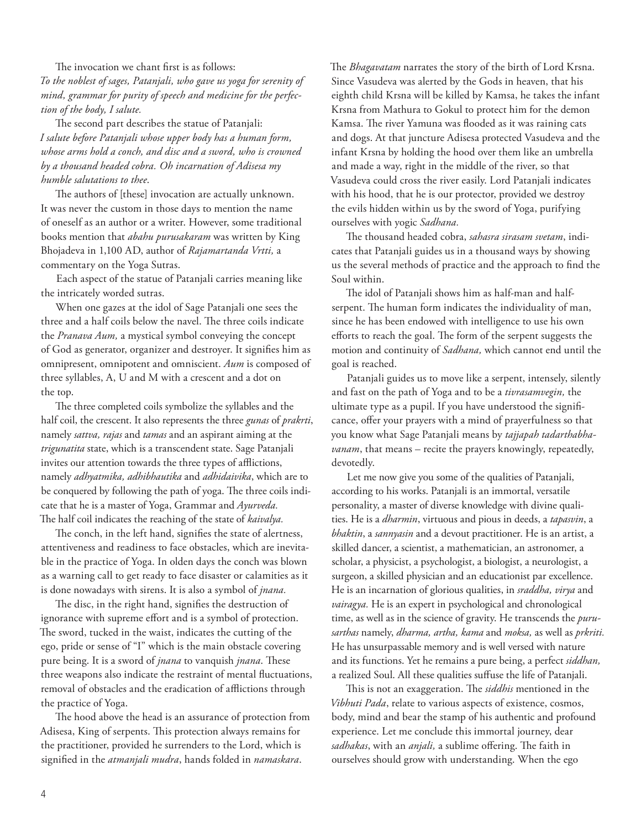The invocation we chant first is as follows: *To the noblest of sages, Patanjali, who gave us yoga for serenity of mind, grammar for purity of speech and medicine for the perfection of the body, I salute.* 

The second part describes the statue of Patanjali: *I salute before Patanjali whose upper body has a human form, whose arms hold a conch, and disc and a sword, who is crowned by a thousand headed cobra. Oh incarnation of Adisesa my humble salutations to thee*.

The authors of [these] invocation are actually unknown. It was never the custom in those days to mention the name of oneself as an author or a writer. However, some traditional books mention that *abahu purusakaram* was written by King Bhojadeva in 1,100 AD, author of *Rajamartanda Vrtti,* a commentary on the Yoga Sutras.

Each aspect of the statue of Patanjali carries meaning like the intricately worded sutras.

When one gazes at the idol of Sage Patanjali one sees the three and a half coils below the navel. The three coils indicate the *Pranava Aum,* a mystical symbol conveying the concept of God as generator, organizer and destroyer. It signifies him as omnipresent, omnipotent and omniscient. *Aum* is composed of three syllables, A, U and M with a crescent and a dot on the top.

The three completed coils symbolize the syllables and the half coil, the crescent. It also represents the three *gunas* of *prakrti*, namely *sattva, rajas* and *tamas* and an aspirant aiming at the *trigunatita* state, which is a transcendent state. Sage Patanjali invites our attention towards the three types of afflictions, namely *adhyatmika, adhibhautika* and *adhidaivika*, which are to be conquered by following the path of yoga. The three coils indicate that he is a master of Yoga, Grammar and *Ayurveda.* The half coil indicates the reaching of the state of *kaivalya.* 

The conch, in the left hand, signifies the state of alertness, attentiveness and readiness to face obstacles, which are inevitable in the practice of Yoga. In olden days the conch was blown as a warning call to get ready to face disaster or calamities as it is done nowadays with sirens. It is also a symbol of *jnana.*

The disc, in the right hand, signifies the destruction of ignorance with supreme effort and is a symbol of protection. The sword, tucked in the waist, indicates the cutting of the ego, pride or sense of "I" which is the main obstacle covering pure being. It is a sword of *jnana* to vanquish *jnana*. These three weapons also indicate the restraint of mental fluctuations, removal of obstacles and the eradication of afflictions through the practice of Yoga.

The hood above the head is an assurance of protection from Adisesa, King of serpents. This protection always remains for the practitioner, provided he surrenders to the Lord, which is signified in the *atmanjali mudra*, hands folded in *namaskara*.

The *Bhagavatam* narrates the story of the birth of Lord Krsna. Since Vasudeva was alerted by the Gods in heaven, that his eighth child Krsna will be killed by Kamsa, he takes the infant Krsna from Mathura to Gokul to protect him for the demon Kamsa. The river Yamuna was flooded as it was raining cats and dogs. At that juncture Adisesa protected Vasudeva and the infant Krsna by holding the hood over them like an umbrella and made a way, right in the middle of the river, so that Vasudeva could cross the river easily. Lord Patanjali indicates with his hood, that he is our protector, provided we destroy the evils hidden within us by the sword of Yoga, purifying ourselves with yogic *Sadhana.* 

The thousand headed cobra, *sahasra sirasam svetam*, indicates that Patanjali guides us in a thousand ways by showing us the several methods of practice and the approach to find the Soul within.

The idol of Patanjali shows him as half-man and halfserpent. The human form indicates the individuality of man, since he has been endowed with intelligence to use his own efforts to reach the goal. The form of the serpent suggests the motion and continuity of *Sadhana,* which cannot end until the goal is reached.

Patanjali guides us to move like a serpent, intensely, silently and fast on the path of Yoga and to be a *tivrasamvegin,* the ultimate type as a pupil. If you have understood the significance, offer your prayers with a mind of prayerfulness so that you know what Sage Patanjali means by *tajjapah tadarthabhavanam*, that means – recite the prayers knowingly, repeatedly, devotedly.

Let me now give you some of the qualities of Patanjali, according to his works. Patanjali is an immortal, versatile personality, a master of diverse knowledge with divine qualities. He is a *dharmin*, virtuous and pious in deeds, a *tapasvin*, a *bhaktin*, a *sannyasin* and a devout practitioner. He is an artist, a skilled dancer, a scientist, a mathematician, an astronomer, a scholar, a physicist, a psychologist, a biologist, a neurologist, a surgeon, a skilled physician and an educationist par excellence. He is an incarnation of glorious qualities, in *sraddha, virya* and *vairagya.* He is an expert in psychological and chronological time, as well as in the science of gravity. He transcends the *purusarthas* namely, *dharma, artha, kama* and *moksa,* as well as *prkriti.* He has unsurpassable memory and is well versed with nature and its functions. Yet he remains a pure being, a perfect *siddhan,* a realized Soul. All these qualities suffuse the life of Patanjali.

This is not an exaggeration. The *siddhis* mentioned in the *Vibhuti Pada*, relate to various aspects of existence, cosmos, body, mind and bear the stamp of his authentic and profound experience. Let me conclude this immortal journey, dear *sadhakas*, with an *anjali,* a sublime offering. The faith in ourselves should grow with understanding. When the ego